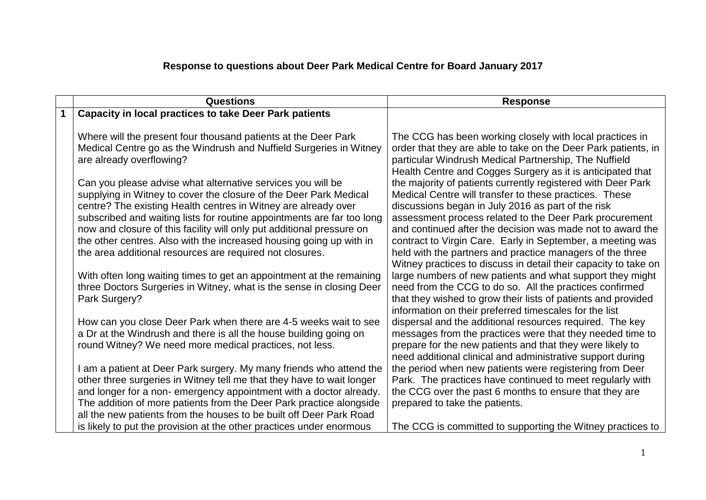## **Response to questions about Deer Park Medical Centre for Board January 2017**

| Questions                                                                                                                                                                                                          | <b>Response</b>                                                                                                                                                                                                                                   |
|--------------------------------------------------------------------------------------------------------------------------------------------------------------------------------------------------------------------|---------------------------------------------------------------------------------------------------------------------------------------------------------------------------------------------------------------------------------------------------|
| <b>Capacity in local practices to take Deer Park patients</b>                                                                                                                                                      |                                                                                                                                                                                                                                                   |
| Where will the present four thousand patients at the Deer Park<br>Medical Centre go as the Windrush and Nuffield Surgeries in Witney<br>are already overflowing?                                                   | The CCG has been working closely with local practices in<br>order that they are able to take on the Deer Park patients, in<br>particular Windrush Medical Partnership, The Nuffield<br>Health Centre and Cogges Surgery as it is anticipated that |
| Can you please advise what alternative services you will be<br>supplying in Witney to cover the closure of the Deer Park Medical<br>centre? The existing Health centres in Witney are already over                 | the majority of patients currently registered with Deer Park<br>Medical Centre will transfer to these practices. These<br>discussions began in July 2016 as part of the risk                                                                      |
| subscribed and waiting lists for routine appointments are far too long<br>now and closure of this facility will only put additional pressure on                                                                    | assessment process related to the Deer Park procurement<br>and continued after the decision was made not to award the                                                                                                                             |
| the other centres. Also with the increased housing going up with in<br>the area additional resources are required not closures.                                                                                    | contract to Virgin Care. Early in September, a meeting was<br>held with the partners and practice managers of the three<br>Witney practices to discuss in detail their capacity to take on                                                        |
| With often long waiting times to get an appointment at the remaining<br>three Doctors Surgeries in Witney, what is the sense in closing Deer<br>Park Surgery?                                                      | large numbers of new patients and what support they might<br>need from the CCG to do so. All the practices confirmed<br>that they wished to grow their lists of patients and provided<br>information on their preferred timescales for the list   |
| How can you close Deer Park when there are 4-5 weeks wait to see<br>a Dr at the Windrush and there is all the house building going on<br>round Witney? We need more medical practices, not less.                   | dispersal and the additional resources required. The key<br>messages from the practices were that they needed time to<br>prepare for the new patients and that they were likely to<br>need additional clinical and administrative support during  |
| I am a patient at Deer Park surgery. My many friends who attend the<br>other three surgeries in Witney tell me that they have to wait longer<br>and longer for a non- emergency appointment with a doctor already. | the period when new patients were registering from Deer<br>Park. The practices have continued to meet regularly with<br>the CCG over the past 6 months to ensure that they are                                                                    |
| The addition of more patients from the Deer Park practice alongside<br>all the new patients from the houses to be built off Deer Park Road                                                                         | prepared to take the patients.                                                                                                                                                                                                                    |
| is likely to put the provision at the other practices under enormous                                                                                                                                               | The CCG is committed to supporting the Witney practices to                                                                                                                                                                                        |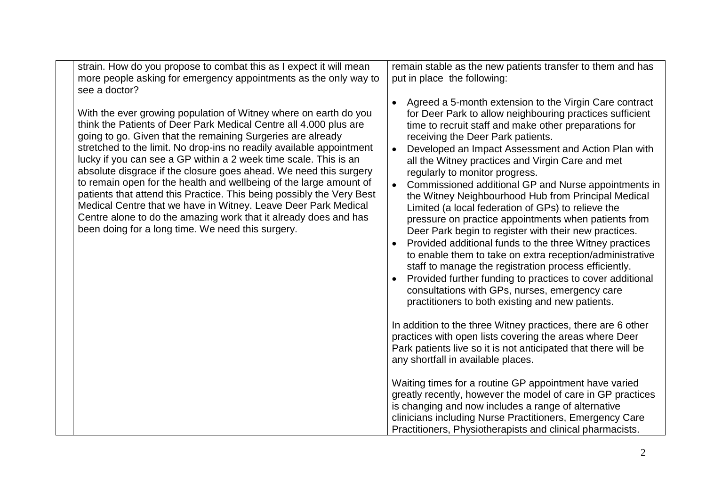| strain. How do you propose to combat this as I expect it will mean                                                                                                                                                                                                                                                                                                                                                                                                                                                                                                                                                                                                                                                                                              | remain stable as the new patients transfer to them and has                                                                                                                                                                                                                                                                                                                                                                                                                                                                                                                                                                                                                                                                                                                                                                                                                                                                                                                                                                                                                                                                                                                                                                                                                                                                                                                                                                                                                                                                                                                                             |
|-----------------------------------------------------------------------------------------------------------------------------------------------------------------------------------------------------------------------------------------------------------------------------------------------------------------------------------------------------------------------------------------------------------------------------------------------------------------------------------------------------------------------------------------------------------------------------------------------------------------------------------------------------------------------------------------------------------------------------------------------------------------|--------------------------------------------------------------------------------------------------------------------------------------------------------------------------------------------------------------------------------------------------------------------------------------------------------------------------------------------------------------------------------------------------------------------------------------------------------------------------------------------------------------------------------------------------------------------------------------------------------------------------------------------------------------------------------------------------------------------------------------------------------------------------------------------------------------------------------------------------------------------------------------------------------------------------------------------------------------------------------------------------------------------------------------------------------------------------------------------------------------------------------------------------------------------------------------------------------------------------------------------------------------------------------------------------------------------------------------------------------------------------------------------------------------------------------------------------------------------------------------------------------------------------------------------------------------------------------------------------------|
| more people asking for emergency appointments as the only way to<br>see a doctor?                                                                                                                                                                                                                                                                                                                                                                                                                                                                                                                                                                                                                                                                               | put in place the following:                                                                                                                                                                                                                                                                                                                                                                                                                                                                                                                                                                                                                                                                                                                                                                                                                                                                                                                                                                                                                                                                                                                                                                                                                                                                                                                                                                                                                                                                                                                                                                            |
| With the ever growing population of Witney where on earth do you<br>think the Patients of Deer Park Medical Centre all 4.000 plus are<br>going to go. Given that the remaining Surgeries are already<br>stretched to the limit. No drop-ins no readily available appointment<br>lucky if you can see a GP within a 2 week time scale. This is an<br>absolute disgrace if the closure goes ahead. We need this surgery<br>to remain open for the health and wellbeing of the large amount of<br>patients that attend this Practice. This being possibly the Very Best<br>Medical Centre that we have in Witney. Leave Deer Park Medical<br>Centre alone to do the amazing work that it already does and has<br>been doing for a long time. We need this surgery. | Agreed a 5-month extension to the Virgin Care contract<br>$\bullet$<br>for Deer Park to allow neighbouring practices sufficient<br>time to recruit staff and make other preparations for<br>receiving the Deer Park patients.<br>Developed an Impact Assessment and Action Plan with<br>$\bullet$<br>all the Witney practices and Virgin Care and met<br>regularly to monitor progress.<br>Commissioned additional GP and Nurse appointments in<br>$\bullet$<br>the Witney Neighbourhood Hub from Principal Medical<br>Limited (a local federation of GPs) to relieve the<br>pressure on practice appointments when patients from<br>Deer Park begin to register with their new practices.<br>Provided additional funds to the three Witney practices<br>$\bullet$<br>to enable them to take on extra reception/administrative<br>staff to manage the registration process efficiently.<br>Provided further funding to practices to cover additional<br>consultations with GPs, nurses, emergency care<br>practitioners to both existing and new patients.<br>In addition to the three Witney practices, there are 6 other<br>practices with open lists covering the areas where Deer<br>Park patients live so it is not anticipated that there will be<br>any shortfall in available places.<br>Waiting times for a routine GP appointment have varied<br>greatly recently, however the model of care in GP practices<br>is changing and now includes a range of alternative<br>clinicians including Nurse Practitioners, Emergency Care<br>Practitioners, Physiotherapists and clinical pharmacists. |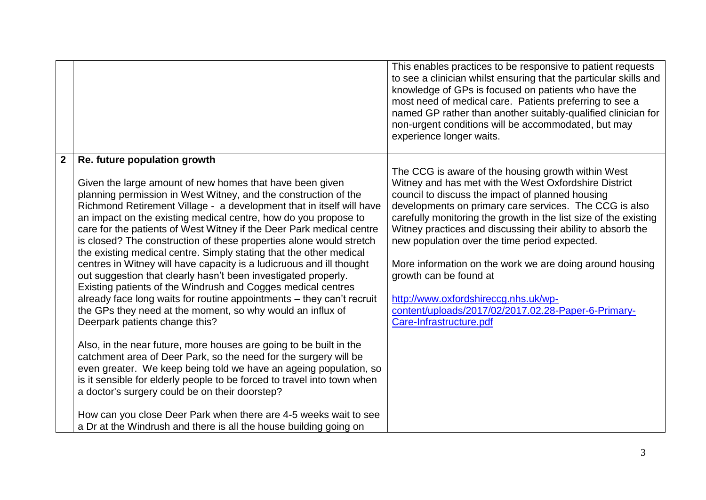|             |                                                                                                                                                                                                                                                                                                                                                                                                                                                                                                                                                                                                                                                                                                                                                                                                                                                                                                                                                                                                                                                                                                                                                                                                                                                                                                                                                                                                     | This enables practices to be responsive to patient requests<br>to see a clinician whilst ensuring that the particular skills and<br>knowledge of GPs is focused on patients who have the<br>most need of medical care. Patients preferring to see a<br>named GP rather than another suitably-qualified clinician for<br>non-urgent conditions will be accommodated, but may<br>experience longer waits.                                                                                                                                                                                                                       |
|-------------|-----------------------------------------------------------------------------------------------------------------------------------------------------------------------------------------------------------------------------------------------------------------------------------------------------------------------------------------------------------------------------------------------------------------------------------------------------------------------------------------------------------------------------------------------------------------------------------------------------------------------------------------------------------------------------------------------------------------------------------------------------------------------------------------------------------------------------------------------------------------------------------------------------------------------------------------------------------------------------------------------------------------------------------------------------------------------------------------------------------------------------------------------------------------------------------------------------------------------------------------------------------------------------------------------------------------------------------------------------------------------------------------------------|-------------------------------------------------------------------------------------------------------------------------------------------------------------------------------------------------------------------------------------------------------------------------------------------------------------------------------------------------------------------------------------------------------------------------------------------------------------------------------------------------------------------------------------------------------------------------------------------------------------------------------|
| $\mathbf 2$ | Re. future population growth<br>Given the large amount of new homes that have been given<br>planning permission in West Witney, and the construction of the<br>Richmond Retirement Village - a development that in itself will have<br>an impact on the existing medical centre, how do you propose to<br>care for the patients of West Witney if the Deer Park medical centre<br>is closed? The construction of these properties alone would stretch<br>the existing medical centre. Simply stating that the other medical<br>centres in Witney will have capacity is a ludicruous and ill thought<br>out suggestion that clearly hasn't been investigated properly.<br>Existing patients of the Windrush and Cogges medical centres<br>already face long waits for routine appointments - they can't recruit<br>the GPs they need at the moment, so why would an influx of<br>Deerpark patients change this?<br>Also, in the near future, more houses are going to be built in the<br>catchment area of Deer Park, so the need for the surgery will be<br>even greater. We keep being told we have an ageing population, so<br>is it sensible for elderly people to be forced to travel into town when<br>a doctor's surgery could be on their doorstep?<br>How can you close Deer Park when there are 4-5 weeks wait to see<br>a Dr at the Windrush and there is all the house building going on | The CCG is aware of the housing growth within West<br>Witney and has met with the West Oxfordshire District<br>council to discuss the impact of planned housing<br>developments on primary care services. The CCG is also<br>carefully monitoring the growth in the list size of the existing<br>Witney practices and discussing their ability to absorb the<br>new population over the time period expected.<br>More information on the work we are doing around housing<br>growth can be found at<br>http://www.oxfordshireccg.nhs.uk/wp-<br>content/uploads/2017/02/2017.02.28-Paper-6-Primary-<br>Care-Infrastructure.pdf |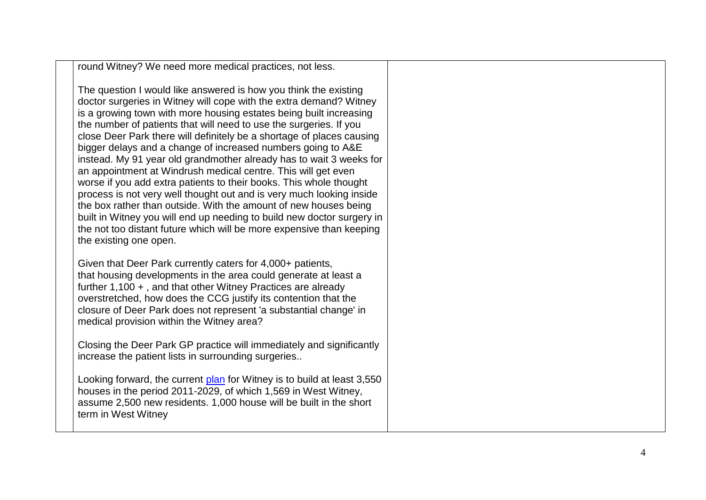round Witney? We need more medical practices, not less.

The question I would like answered is how you think the existing doctor surgeries in Witney will cope with the extra demand? Witney is a growing town with more housing estates being built increasing the number of patients that will need to use the surgeries. If you close Deer Park there will definitely be a shortage of places causing bigger delays and a change of increased numbers going to A&E instead. My 91 year old grandmother already has to wait 3 weeks for an appointment at Windrush medical centre. This will get even worse if you add extra patients to their books. This whole thought process is not very well thought out and is very much looking inside the box rather than outside. With the amount of new houses being built in Witney you will end up needing to build new doctor surgery in the not to o distant future which will be more expensive than keeping the existing one open.

Given that Deer Park currently caters for 4,000+ patients, that housing developments in the area could generate at least a further 1,100 + , and that other Witney Practices are already overstretched, how does the CCG justify its contention that the closure of Deer Park does not represent 'a substantial change' in medical provision within the Witney area?

Closing the Deer Park GP practice will immediately and significantly increase the patient lists in surrounding surgeries..

Looking forward, the current [plan](http://planningconsultation.westoxon.gov.uk/consult.ti/Housing_Consultation/viewCompoundDoc?docid=5398324&partId=5399412&sessionid=&voteid=) for Witney is to build at least 3,550 houses in the period 2011 -2029, of which 1,569 in West Witney, assume 2,500 new residents. 1,000 house will be built in the short term in West Witney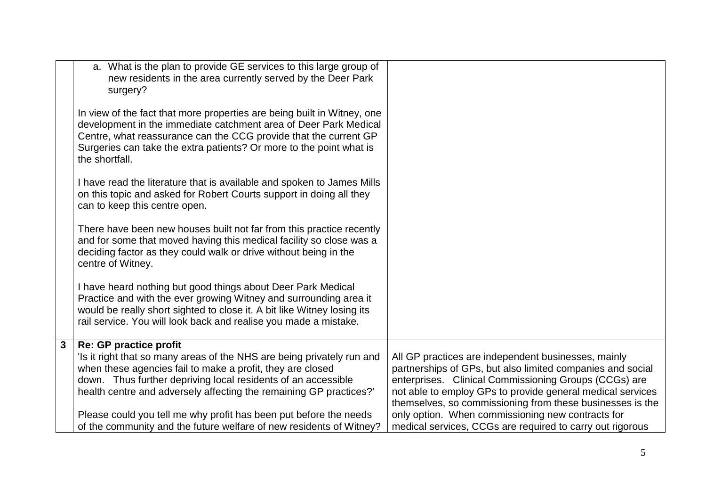|              | a. What is the plan to provide GE services to this large group of<br>new residents in the area currently served by the Deer Park<br>surgery?<br>In view of the fact that more properties are being built in Witney, one<br>development in the immediate catchment area of Deer Park Medical<br>Centre, what reassurance can the CCG provide that the current GP<br>Surgeries can take the extra patients? Or more to the point what is<br>the shortfall.<br>I have read the literature that is available and spoken to James Mills<br>on this topic and asked for Robert Courts support in doing all they<br>can to keep this centre open.<br>There have been new houses built not far from this practice recently<br>and for some that moved having this medical facility so close was a<br>deciding factor as they could walk or drive without being in the<br>centre of Witney.<br>have heard nothing but good things about Deer Park Medical<br>Practice and with the ever growing Witney and surrounding area it<br>would be really short sighted to close it. A bit like Witney losing its<br>rail service. You will look back and realise you made a mistake. |                                                                                                                                                                                                                                                                                                                                                                                                                         |
|--------------|----------------------------------------------------------------------------------------------------------------------------------------------------------------------------------------------------------------------------------------------------------------------------------------------------------------------------------------------------------------------------------------------------------------------------------------------------------------------------------------------------------------------------------------------------------------------------------------------------------------------------------------------------------------------------------------------------------------------------------------------------------------------------------------------------------------------------------------------------------------------------------------------------------------------------------------------------------------------------------------------------------------------------------------------------------------------------------------------------------------------------------------------------------------------|-------------------------------------------------------------------------------------------------------------------------------------------------------------------------------------------------------------------------------------------------------------------------------------------------------------------------------------------------------------------------------------------------------------------------|
| $\mathbf{3}$ | Re: GP practice profit<br>'Is it right that so many areas of the NHS are being privately run and<br>when these agencies fail to make a profit, they are closed<br>down. Thus further depriving local residents of an accessible<br>health centre and adversely affecting the remaining GP practices?<br>Please could you tell me why profit has been put before the needs<br>of the community and the future welfare of new residents of Witney?                                                                                                                                                                                                                                                                                                                                                                                                                                                                                                                                                                                                                                                                                                                     | All GP practices are independent businesses, mainly<br>partnerships of GPs, but also limited companies and social<br>enterprises. Clinical Commissioning Groups (CCGs) are<br>not able to employ GPs to provide general medical services<br>themselves, so commissioning from these businesses is the<br>only option. When commissioning new contracts for<br>medical services, CCGs are required to carry out rigorous |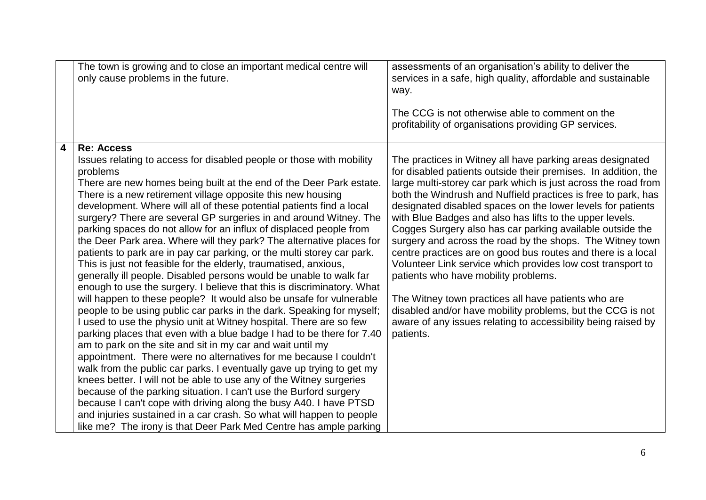|                         | The town is growing and to close an important medical centre will<br>only cause problems in the future.                                                                                                                                                                                                                                                                                                                                                                                                                                                                                                                                                                                                                                                                                                                                                                                                                                                                                                                                                                                                                                                                                                                                                                                                                                                                                                                                                                                                                                                                                                                                                                                                     | assessments of an organisation's ability to deliver the<br>services in a safe, high quality, affordable and sustainable<br>way.<br>The CCG is not otherwise able to comment on the<br>profitability of organisations providing GP services.                                                                                                                                                                                                                                                                                                                                                                                                                                                                                                                                                                                                                                                   |
|-------------------------|-------------------------------------------------------------------------------------------------------------------------------------------------------------------------------------------------------------------------------------------------------------------------------------------------------------------------------------------------------------------------------------------------------------------------------------------------------------------------------------------------------------------------------------------------------------------------------------------------------------------------------------------------------------------------------------------------------------------------------------------------------------------------------------------------------------------------------------------------------------------------------------------------------------------------------------------------------------------------------------------------------------------------------------------------------------------------------------------------------------------------------------------------------------------------------------------------------------------------------------------------------------------------------------------------------------------------------------------------------------------------------------------------------------------------------------------------------------------------------------------------------------------------------------------------------------------------------------------------------------------------------------------------------------------------------------------------------------|-----------------------------------------------------------------------------------------------------------------------------------------------------------------------------------------------------------------------------------------------------------------------------------------------------------------------------------------------------------------------------------------------------------------------------------------------------------------------------------------------------------------------------------------------------------------------------------------------------------------------------------------------------------------------------------------------------------------------------------------------------------------------------------------------------------------------------------------------------------------------------------------------|
|                         |                                                                                                                                                                                                                                                                                                                                                                                                                                                                                                                                                                                                                                                                                                                                                                                                                                                                                                                                                                                                                                                                                                                                                                                                                                                                                                                                                                                                                                                                                                                                                                                                                                                                                                             |                                                                                                                                                                                                                                                                                                                                                                                                                                                                                                                                                                                                                                                                                                                                                                                                                                                                                               |
| $\overline{\mathbf{4}}$ | <b>Re: Access</b><br>Issues relating to access for disabled people or those with mobility<br>problems<br>There are new homes being built at the end of the Deer Park estate.<br>There is a new retirement village opposite this new housing<br>development. Where will all of these potential patients find a local<br>surgery? There are several GP surgeries in and around Witney. The<br>parking spaces do not allow for an influx of displaced people from<br>the Deer Park area. Where will they park? The alternative places for<br>patients to park are in pay car parking, or the multi storey car park.<br>This is just not feasible for the elderly, traumatised, anxious,<br>generally ill people. Disabled persons would be unable to walk far<br>enough to use the surgery. I believe that this is discriminatory. What<br>will happen to these people? It would also be unsafe for vulnerable<br>people to be using public car parks in the dark. Speaking for myself;<br>used to use the physio unit at Witney hospital. There are so few<br>parking places that even with a blue badge I had to be there for 7.40<br>am to park on the site and sit in my car and wait until my<br>appointment. There were no alternatives for me because I couldn't<br>walk from the public car parks. I eventually gave up trying to get my<br>knees better. I will not be able to use any of the Witney surgeries<br>because of the parking situation. I can't use the Burford surgery<br>because I can't cope with driving along the busy A40. I have PTSD<br>and injuries sustained in a car crash. So what will happen to people<br>like me? The irony is that Deer Park Med Centre has ample parking | The practices in Witney all have parking areas designated<br>for disabled patients outside their premises. In addition, the<br>large multi-storey car park which is just across the road from<br>both the Windrush and Nuffield practices is free to park, has<br>designated disabled spaces on the lower levels for patients<br>with Blue Badges and also has lifts to the upper levels.<br>Cogges Surgery also has car parking available outside the<br>surgery and across the road by the shops. The Witney town<br>centre practices are on good bus routes and there is a local<br>Volunteer Link service which provides low cost transport to<br>patients who have mobility problems.<br>The Witney town practices all have patients who are<br>disabled and/or have mobility problems, but the CCG is not<br>aware of any issues relating to accessibility being raised by<br>patients. |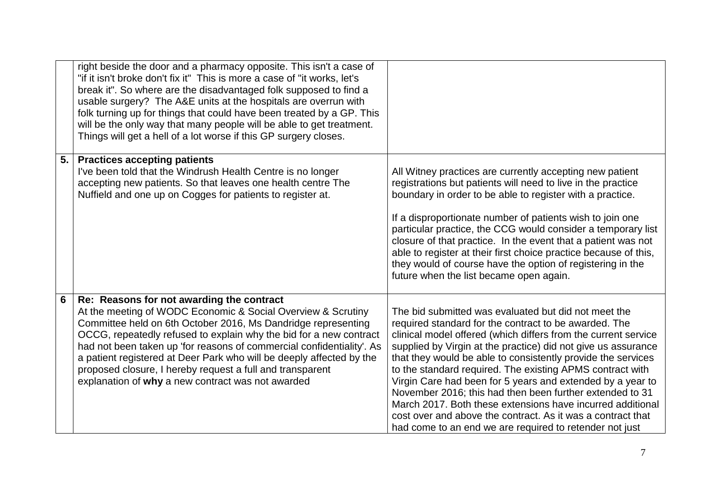|                | right beside the door and a pharmacy opposite. This isn't a case of<br>"if it isn't broke don't fix it" This is more a case of "it works, let's<br>break it". So where are the disadvantaged folk supposed to find a<br>usable surgery? The A&E units at the hospitals are overrun with<br>folk turning up for things that could have been treated by a GP. This<br>will be the only way that many people will be able to get treatment.<br>Things will get a hell of a lot worse if this GP surgery closes.        |                                                                                                                                                                                                                                                                                                                                                                                                                                                                                                                                                                                                                                                                                                 |
|----------------|---------------------------------------------------------------------------------------------------------------------------------------------------------------------------------------------------------------------------------------------------------------------------------------------------------------------------------------------------------------------------------------------------------------------------------------------------------------------------------------------------------------------|-------------------------------------------------------------------------------------------------------------------------------------------------------------------------------------------------------------------------------------------------------------------------------------------------------------------------------------------------------------------------------------------------------------------------------------------------------------------------------------------------------------------------------------------------------------------------------------------------------------------------------------------------------------------------------------------------|
| 5.             | <b>Practices accepting patients</b><br>I've been told that the Windrush Health Centre is no longer<br>accepting new patients. So that leaves one health centre The<br>Nuffield and one up on Cogges for patients to register at.                                                                                                                                                                                                                                                                                    | All Witney practices are currently accepting new patient<br>registrations but patients will need to live in the practice<br>boundary in order to be able to register with a practice.<br>If a disproportionate number of patients wish to join one<br>particular practice, the CCG would consider a temporary list<br>closure of that practice. In the event that a patient was not<br>able to register at their first choice practice because of this,<br>they would of course have the option of registering in the<br>future when the list became open again.                                                                                                                                |
| $6\phantom{1}$ | Re: Reasons for not awarding the contract<br>At the meeting of WODC Economic & Social Overview & Scrutiny<br>Committee held on 6th October 2016, Ms Dandridge representing<br>OCCG, repeatedly refused to explain why the bid for a new contract<br>had not been taken up 'for reasons of commercial confidentiality'. As<br>a patient registered at Deer Park who will be deeply affected by the<br>proposed closure, I hereby request a full and transparent<br>explanation of why a new contract was not awarded | The bid submitted was evaluated but did not meet the<br>required standard for the contract to be awarded. The<br>clinical model offered (which differs from the current service<br>supplied by Virgin at the practice) did not give us assurance<br>that they would be able to consistently provide the services<br>to the standard required. The existing APMS contract with<br>Virgin Care had been for 5 years and extended by a year to<br>November 2016; this had then been further extended to 31<br>March 2017. Both these extensions have incurred additional<br>cost over and above the contract. As it was a contract that<br>had come to an end we are required to retender not just |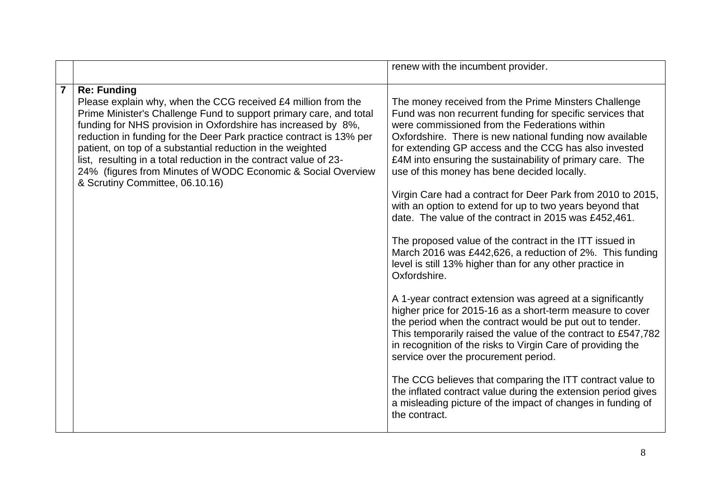|                         |                                                                                                                                                                                                                                                                                                                                                                                                                                                                                                                                         | renew with the incumbent provider.                                                                                                                                                                                                                                                                                                                                                                                                                                                                                                                                                                                                                                                                                                                                                                                                                                                                                                                                                                                                                                                                                                                                                                                                                                                                                                                                     |
|-------------------------|-----------------------------------------------------------------------------------------------------------------------------------------------------------------------------------------------------------------------------------------------------------------------------------------------------------------------------------------------------------------------------------------------------------------------------------------------------------------------------------------------------------------------------------------|------------------------------------------------------------------------------------------------------------------------------------------------------------------------------------------------------------------------------------------------------------------------------------------------------------------------------------------------------------------------------------------------------------------------------------------------------------------------------------------------------------------------------------------------------------------------------------------------------------------------------------------------------------------------------------------------------------------------------------------------------------------------------------------------------------------------------------------------------------------------------------------------------------------------------------------------------------------------------------------------------------------------------------------------------------------------------------------------------------------------------------------------------------------------------------------------------------------------------------------------------------------------------------------------------------------------------------------------------------------------|
| $\overline{\mathbf{7}}$ | <b>Re: Funding</b><br>Please explain why, when the CCG received £4 million from the<br>Prime Minister's Challenge Fund to support primary care, and total<br>funding for NHS provision in Oxfordshire has increased by 8%,<br>reduction in funding for the Deer Park practice contract is 13% per<br>patient, on top of a substantial reduction in the weighted<br>list, resulting in a total reduction in the contract value of 23-<br>24% (figures from Minutes of WODC Economic & Social Overview<br>& Scrutiny Committee, 06.10.16) | The money received from the Prime Minsters Challenge<br>Fund was non recurrent funding for specific services that<br>were commissioned from the Federations within<br>Oxfordshire. There is new national funding now available<br>for extending GP access and the CCG has also invested<br>£4M into ensuring the sustainability of primary care. The<br>use of this money has bene decided locally.<br>Virgin Care had a contract for Deer Park from 2010 to 2015,<br>with an option to extend for up to two years beyond that<br>date. The value of the contract in 2015 was £452,461.<br>The proposed value of the contract in the ITT issued in<br>March 2016 was £442,626, a reduction of 2%. This funding<br>level is still 13% higher than for any other practice in<br>Oxfordshire.<br>A 1-year contract extension was agreed at a significantly<br>higher price for 2015-16 as a short-term measure to cover<br>the period when the contract would be put out to tender.<br>This temporarily raised the value of the contract to £547,782<br>in recognition of the risks to Virgin Care of providing the<br>service over the procurement period.<br>The CCG believes that comparing the ITT contract value to<br>the inflated contract value during the extension period gives<br>a misleading picture of the impact of changes in funding of<br>the contract. |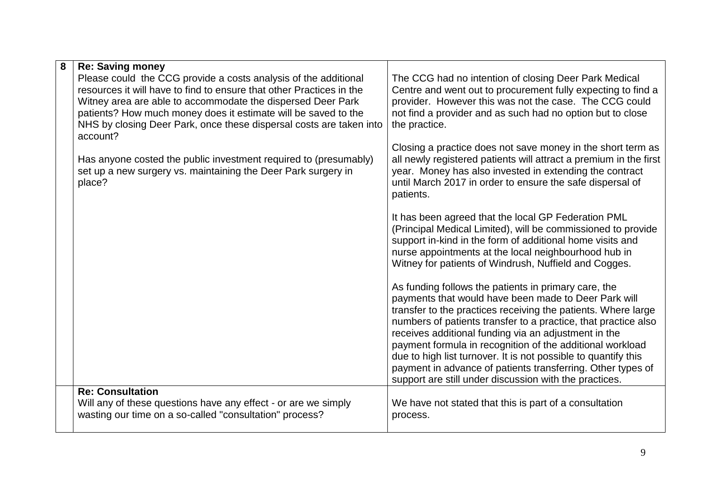| 8                  | <b>Re: Saving money</b><br>Please could the CCG provide a costs analysis of the additional<br>resources it will have to find to ensure that other Practices in the<br>Witney area are able to accommodate the dispersed Deer Park<br>patients? How much money does it estimate will be saved to the | The CCG had no intention of closing Deer Park Medical<br>Centre and went out to procurement fully expecting to find a<br>provider. However this was not the case. The CCG could<br>not find a provider and as such had no option but to close                                                                                                                                                                                                                                                                                                                   |
|--------------------|-----------------------------------------------------------------------------------------------------------------------------------------------------------------------------------------------------------------------------------------------------------------------------------------------------|-----------------------------------------------------------------------------------------------------------------------------------------------------------------------------------------------------------------------------------------------------------------------------------------------------------------------------------------------------------------------------------------------------------------------------------------------------------------------------------------------------------------------------------------------------------------|
| account?<br>place? | NHS by closing Deer Park, once these dispersal costs are taken into<br>Has anyone costed the public investment required to (presumably)<br>set up a new surgery vs. maintaining the Deer Park surgery in                                                                                            | the practice.<br>Closing a practice does not save money in the short term as<br>all newly registered patients will attract a premium in the first<br>year. Money has also invested in extending the contract<br>until March 2017 in order to ensure the safe dispersal of<br>patients.                                                                                                                                                                                                                                                                          |
|                    |                                                                                                                                                                                                                                                                                                     | It has been agreed that the local GP Federation PML<br>(Principal Medical Limited), will be commissioned to provide<br>support in-kind in the form of additional home visits and<br>nurse appointments at the local neighbourhood hub in<br>Witney for patients of Windrush, Nuffield and Cogges.                                                                                                                                                                                                                                                               |
|                    |                                                                                                                                                                                                                                                                                                     | As funding follows the patients in primary care, the<br>payments that would have been made to Deer Park will<br>transfer to the practices receiving the patients. Where large<br>numbers of patients transfer to a practice, that practice also<br>receives additional funding via an adjustment in the<br>payment formula in recognition of the additional workload<br>due to high list turnover. It is not possible to quantify this<br>payment in advance of patients transferring. Other types of<br>support are still under discussion with the practices. |
|                    | <b>Re: Consultation</b><br>Will any of these questions have any effect - or are we simply<br>wasting our time on a so-called "consultation" process?                                                                                                                                                | We have not stated that this is part of a consultation<br>process.                                                                                                                                                                                                                                                                                                                                                                                                                                                                                              |